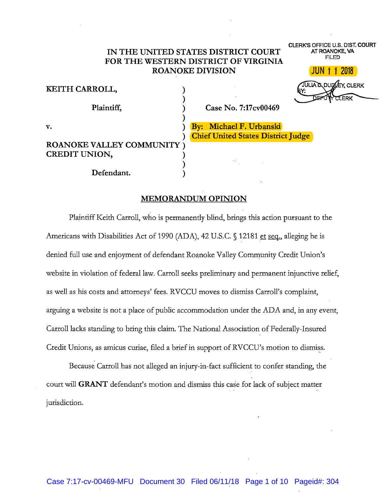# IN THE UNITED STATES DISTRICT COURT FOR THE WESTERN DISTRICT OF VIRGINIA **ROANOKE DIVISION**

CLERK'S OFFICE U.S. DIST. COURT AT ROANOKE, VA **FILED** 

2018

| KEITH CARROLL,                                     | JULIA & DUD EY, CLERK                                                |
|----------------------------------------------------|----------------------------------------------------------------------|
| Plaintiff,                                         | DEPOI<br>MULERK<br>Case No. 7:17cv00469                              |
| v.                                                 | By: Michael F. Urbanski<br><b>Chief United States District Judge</b> |
| <b>ROANOKE VALLEY COMMUNITY</b> )<br>CREDIT UNION, | Maria Barat                                                          |
| Defendant.                                         |                                                                      |

## **MEMORANDUM OPINION**

Plaintiff Keith Carroll, who is permanently blind, brings this action pursuant to the Americans with Disabilities Act of 1990 (ADA), 42 U.S.C. § 12181 et seq., alleging he is denied full use and enjoyment of defendant Roanoke Valley Community Credit Union's website in violation of federal law. Carroll seeks preliminary and permanent injunctive relief, as well as his costs and attorneys' fees. RVCCU moves to dismiss Carroll's complaint, arguing a website is not a place of public accommodation under the ADA and, in any event, Carroll lacks standing to bring this claim. The National Association of Federally-Insured Credit Unions, as amicus curiae, filed a brief in support of RVCCU's motion to dismiss.

Because Carroll has not alleged an injury-in-fact sufficient to confer standing, the court will GRANT defendant's motion and dismiss this case for lack of subject matter jurisdiction.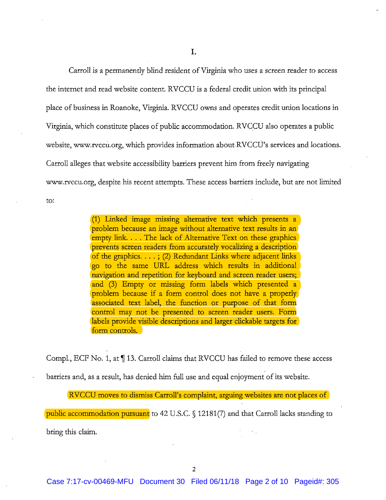Carroll is a permanently blind resident of Virginia who uses a screen reader to access the internet and read website content. RVCCU is a federal credit union with its principal place of business in Roanoke, Virginia. RVCCU owns and operates credit union locations in Virginia, which constitute places of public accommodation. RVCCU also operates a public website, www.rvccu.org, which provides information about RVCCU's services and locations. Carroll alleges that website accessibility barriers prevent him from freely navigating www.rvccu.org, despite his recent attempts. These access barriers include, but are not limited to:

> (1) Linked image missing alternative text which presents a problem because an image without alternative text results in an empty link.... The lack of Alternative Text on these graphics prevents screen readers from accurately vocalizing a description of the graphics.  $\ldots$ ; (2) Redundant Links where adjacent links go to the same URL address which results in additional navigation and repetition for keyboard and screen reader users; and (3) Empty or missing form labels which presented a problem because if a form control does not have a properly associated text label, the function or purpose of that form control may not be presented to screen reader users. Form labels provide visible descriptions and larger clickable targets for form controls.

Compl., ECF No. 1, at 113. Carroll claims that RVCCU has failed to remove these access barriers and, as a result, has denied him full use and equal enjoyment of its website.

RVCCU moves to dismiss Carroll's complaint, arguing websites are not places of

public accommodation pursuant to 42 U.S.C. § 12181(7) and that Carroll lacks standing to

bring this claim.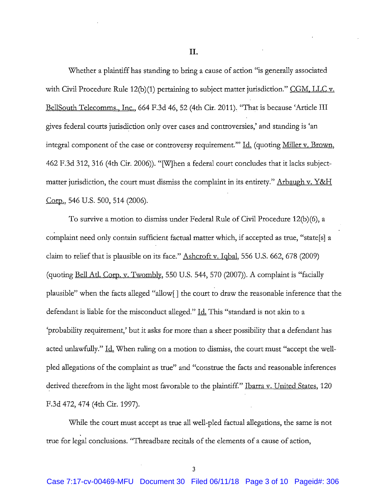II.

Whether a plaintiff has standing to bring a cause of action "is generally associated with Civil Procedure Rule 12(b)(1) pertaining to subject matter jurisdiction." CGM, LLC v. BellSouth Telecomms., Inc., 664 F.3d 46, 52 (4th Cir. 2011). "That is because 'Article III gives federal courts jurisdiction only over cases and controversies,' and standing is 'an integral component of the case or controversy requirement." Id. (quoting Miller v. Brown, 462 F.3d 312, 316 (4th Cir. 2006)). "[W]hen a federal court concludes that it lacks subjectmatter jurisdiction, the court must dismiss the complaint in its entirety." Arbaugh v. Y&H Corp., 546 U.S. 500, 514 (2006).

To survive a motion to dismiss under Federal Rule of Civil Procedure 12(b)(6), a complaint need only contain sufficient factual matter which, if accepted as true, "state[s] a claim to relief that is plausible on its face." Ashcroft v. Iqbal, 556 U.S. 662, 678 (2009) (quoting Bell Atl. Corp. v. Twombly, 550 U.S. 544, 570 (2007)). A complaint is "facially plausible" when the facts alleged "allow[] the court to draw the reasonable inference that the defendant is liable for the misconduct alleged." <u>Id.</u> This "standard is not akin to a 'probability requirement,' but it asks for more than a sheer possibility that a defendant has acted unlawfully." <u>Id.</u> When ruling on a motion to dismiss, the court must "accept the wellpled allegations of the complaint as true" and "construe the facts and reasonable inferences derived therefrom in the light most favorable to the plaintiff." Ibarra v. United States, 120 F.3d 472, 474 (4th Cir. 1997).

While the court must accept as true all well-pled factual allegations, the same is not true for legal conclusions. "Threadbare recitals of the elements of a cause of action,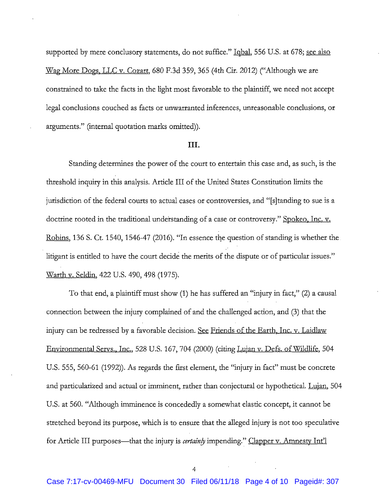supported by mere conclusory statements, do not suffice." Iqbal, 556 U.S. at 678; see also Wag More Dogs, LLC v. Cozart, 680 F.3d 359, 365 (4th Cir. 2012) ("Although we are constrained to take the facts in the light most favorable to the plaintiff, we need not accept legal conclusions couched as facts or unwarranted inferences, unreasonable conclusions, or arguments." (internal quotation marks omitted)).

#### III.

Standing determines the power of the court to entertain this case and, as such, is the threshold inquiry in this analysis. Article III of the United States Constitution limits the jurisdiction of the federal courts to actual cases or controversies, and "[s]tanding to sue is a doctrine rooted in the traditional understanding of a case or controversy." Spokeo, Inc. v. Robins, 136 S. Ct. 1540, 1546-47 (2016). "In essence the question of standing is whether the litigant is entitled to have the court decide the merits of the dispute or of particular issues." Warth v. Seldin, 422 U.S. 490, 498 (1975).

To that end, a plaintiff must show (1) he has suffered an "injury in fact," (2) a causal connection between the injury complained of and the challenged action, and (3) that the injury can be redressed by a favorable decision. See Friends of the Earth, Inc. v. Laidlaw Environmental Servs., Inc., 528 U.S. 167, 704 (2000) (citing Lujan v. Defs. of Wildlife, 504 U.S. 555, 560-61 (1992)). As regards the first element, the "injury in fact" must be concrete and particularized and actual or imminent, rather than conjectural or hypothetical. Lujan, 504 U.S. at 560. "Although imminence is concededly a somewhat elastic concept, it cannot be stretched beyond its purpose, which is to ensure that the alleged injury is not too speculative for Article III purposes—that the injury is certainly impending." Clapper v. Amnesty Int'l

 $\overline{A}$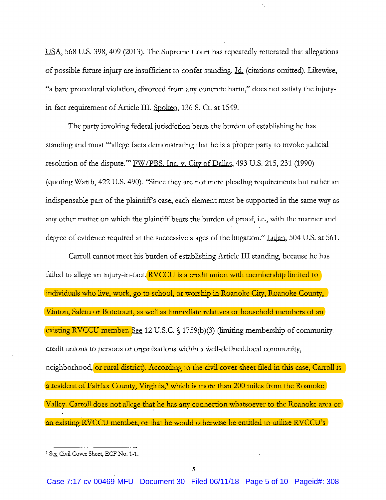USA, 568 U.S. 398, 409 (2013). The Supreme Court has repeatedly reiterated that allegations of possible future injury are insufficient to confer standing. Id. (citations omitted). Likewise, "a bare procedural violation, divorced from any concrete harm," does not satisfy the injuryin-fact requirement of Article III. Spokeo, 136 S. Ct. at 1549.

The party invoking federal jurisdiction bears the burden of establishing he has standing and must "allege facts demonstrating that he is a proper party to invoke judicial resolution of the dispute." FW/PBS, Inc. v. City of Dallas, 493 U.S. 215, 231 (1990) (quoting Warth, 422 U.S. 490). "Since they are not mere pleading requirements but rather an indispensable part of the plaintiff's case, each element must be supported in the same way as any other matter on which the plaintiff bears the burden of proof, i.e., with the manner and degree of evidence required at the successive stages of the litigation." Lujan, 504 U.S. at 561.

Carroll cannot meet his burden of establishing Article III standing, because he has failed to allege an injury-in-fact. RVCCU is a credit union with membership limited to individuals who live, work, go to school, or worship in Roanoke City, Roanoke County, Vinton, Salem or Botetourt, as well as immediate relatives or household members of an existing RVCCU member. See 12 U.S.C. § 1759(b)(3) (limiting membership of community. credit unions to persons or organizations within a well-defined local community, neighborhood, or rural district). According to the civil cover sheet filed in this case, Carroll is a resident of Fairfax County, Virginia,<sup>1</sup> which is more than 200 miles from the Roanoke Valley. Carroll does not allege that he has any connection whatsoever to the Roanoke area or an existing RVCCU member, or that he would otherwise be entitled to utilize RVCCU's

<sup>&</sup>lt;sup>1</sup> See Civil Cover Sheet, ECF No. 1-1.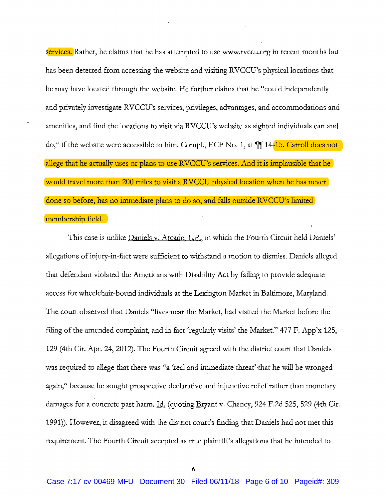services. Rather, he claims that he has attempted to use www.rvccu.org in recent months but has been deterred from accessing the website and visiting RVCCU's physical locations that he may have located through the website. He further claims that he "could independently and privately investigate RVCCU's services, privileges, advantages, and accommodations and amenities, and find the locations to visit via RVCCU's website as sighted individuals can and do," if the website were accessible to him. Compl., ECF No. 1, at  $\P$  14-15. Carroll does not allege that he actually uses or plans to use RVCCU's services. And it is implausible that he would travel more than 200 miles to visit a RVCCU physical location when he has never done so before, has no immediate plans to do so, and falls outside RVCCU's limited membership field.

This case is unlike Daniels v. Arcade, L.P., in which the Fourth Circuit held Daniels' allegations of injury-in-fact were sufficient to withstand a motion to dismiss. Daniels alleged that defendant violated the Americans with Disability Act by failing to provide adequate access for wheelchair-bound individuals at the Lexington Market in Baltimore, Maryland. The court observed that Daniels "lives near the Market, had visited the Market before the filing of the amended complaint, and in fact 'regularly visits' the Market." 477 F. App'x 125, 129 (4th Cir. Apr. 24, 2012). The Fourth Circuit agreed with the district court that Daniels was required to allege that there was "a 'real and immediate threat' that he will be wronged again," because he sought prospective declarative and injunctive relief rather than monetary damages for a concrete past harm. Id. (quoting Bryant v. Cheney, 924 F.2d 525, 529 (4th Cir. 1991)). However, it disagreed with the district court's finding that Daniels had not met this requirement. The Fourth Circuit accepted as true plaintiff's allegations that he intended to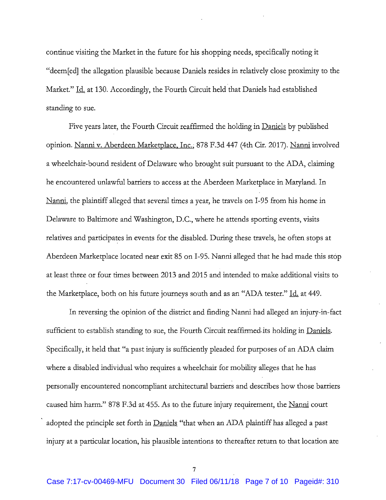continue visiting the Market in the future for his shopping needs, specifically noting it "deem[ed] the allegation plausible because Daniels resides in relatively close proximity to the Market." Id. at 130. Accordingly, the Fourth Circuit held that Daniels had established standing to sue.

Five years later, the Fourth Circuit reaffirmed the holding in <u>Daniels</u> by published opinion. Nanni v. Aberdeen Marketplace, Inc., 878 F.3d 447 (4th Cir. 2017). Nanni involved a wheelchair-bound resident of Delaware who brought suit pursuant to the ADA, claiming he encountered unlawful barriers to access at the Aberdeen Marketplace in Maryland. In Nanni, the plaintiff alleged that several times a year, he travels on I-95 from his home in Delaware to Baltimore and Washington, D.C., where he attends sporting events, visits relatives and participates in events for the disabled. During these travels, he often stops at Aberdeen Marketplace located near exit 85 on I-95. Nanni alleged that he had made this stop at least three or four times between 2013 and 2015 and intended to make additional visits to the Marketplace, both on his future journeys south and as an "ADA tester." Id. at 449.

In reversing the opinion of the district and finding Nanni had alleged an injury-in-fact sufficient to establish standing to sue, the Fourth Circuit reaffirmed its holding in Daniels. Specifically, it held that "a past injury is sufficiently pleaded for purposes of an ADA claim where a disabled individual who requires a wheelchair for mobility alleges that he has personally encountered noncompliant architectural barriers and describes how those barriers caused him harm." 878 F.3d at 455. As to the future injury requirement, the Nanni court adopted the principle set forth in Daniels "that when an ADA plaintiff has alleged a past injury at a particular location, his plausible intentions to thereafter return to that location are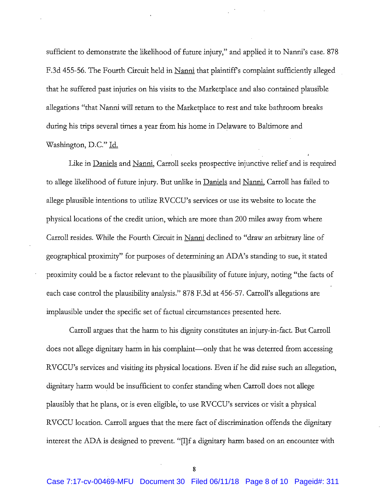sufficient to demonstrate the likelihood of future injury," and applied it to Nanni's case. 878 F.3d 455-56. The Fourth Circuit held in Nanni that plaintiff's complaint sufficiently alleged that he suffered past injuries on his visits to the Marketplace and also contained plausible allegations "that Nanni will return to the Marketplace to rest and take bathroom breaks during his trips several times a year from his home in Delaware to Baltimore and Washington, D.C." Id.

Like in Daniels and Nanni, Carroll seeks prospective injunctive relief and is required to allege likelihood of future injury. But unlike in Daniels and Nanni, Carroll has failed to allege plausible intentions to utilize RVCCU's services or use its website to locate the physical locations of the credit union, which are more than 200 miles away from where Carroll resides. While the Fourth Circuit in Nanni declined to "draw an arbitrary line of geographical proximity" for purposes of determining an ADA's standing to sue, it stated proximity could be a factor relevant to the plausibility of future injury, noting "the facts of each case control the plausibility analysis." 878 F.3d at 456-57. Carroll's allegations are implausible under the specific set of factual circumstances presented here.

Carroll argues that the harm to his dignity constitutes an injury-in-fact. But Carroll does not allege dignitary harm in his complaint—only that he was deterred from accessing RVCCU's services and visiting its physical locations. Even if he did raise such an allegation, dignitary harm would be insufficient to confer standing when Carroll does not allege plausibly that he plans, or is even eligible, to use RVCCU's services or visit a physical RVCCU location. Carroll argues that the mere fact of discrimination offends the dignitary interest the ADA is designed to prevent. "[I]f a dignitary harm based on an encounter with

8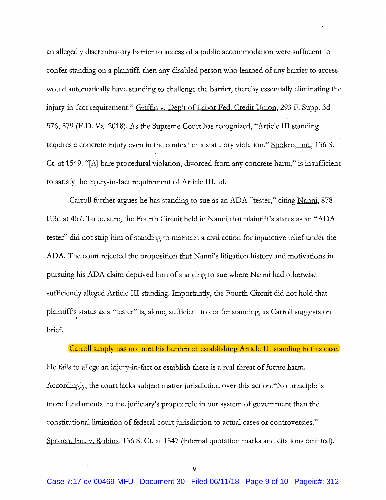an allegedly discriminatory barrier to access of a public accommodation were sufficient to confer standing on a plaintiff, then any disabled person who learned of any barrier to access would automatically have standing to challenge the barrier, thereby essentially eliminating the injury-in-fact requirement." Griffin v. Dep't of Labor Fed. Credit Union, 293 F. Supp. 3d 576, 579 (E.D. Va. 2018). As the Supreme Court has recognized, "Article III standing requires a concrete injury even in the context of a statutory violation." Spokeo, Inc., 136 S. Ct. at 1549. "[A] bare procedural violation, divorced from any concrete harm," is insufficient to satisfy the injury-in-fact requirement of Article III. Id.

Carroll further argues he has standing to sue as an ADA "tester," citing Nanni, 878 F.3d at 457. To be sure, the Fourth Circuit held in Nanni that plaintiff's status as an "ADA tester" did not strip him of standing to maintain a civil action for injunctive relief under the ADA. The court rejected the proposition that Nanni's litigation history and motivations in pursuing his ADA claim deprived him of standing to sue where Nanni had otherwise sufficiently alleged Article III standing. Importantly, the Fourth Circuit did not hold that plaintiff's status as a "tester" is, alone, sufficient to confer standing, as Carroll suggests on brief.

### Carroll simply has not met his burden of establishing Article III standing in this case.

He fails to allege an injury-in-fact or establish there is a real threat of future harm. Accordingly, the court lacks subject matter jurisdiction over this action. "No principle is more fundamental to the judiciary's proper role in our system of government than the constitutional limitation of federal-court jurisdiction to actual cases or controversies." Spokeo, Inc. v. Robins, 136 S. Ct. at 1547 (internal quotation marks and citations omitted).